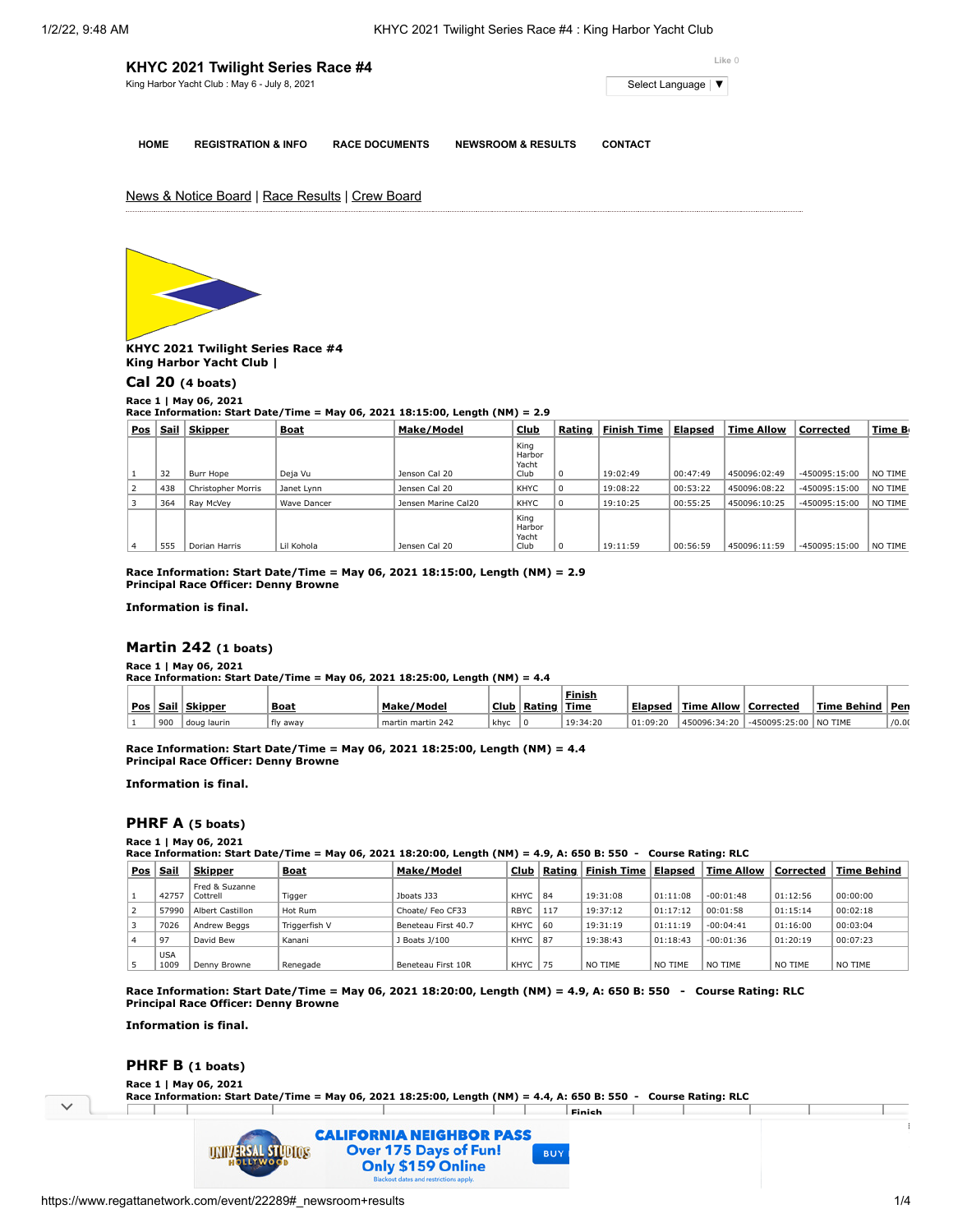| KHYC 2021 Twilight Series Race #4            | Like 0                                     |
|----------------------------------------------|--------------------------------------------|
| King Harbor Yacht Club: May 6 - July 8, 2021 | Select Language $\vert \blacktriangledown$ |
|                                              |                                            |

**HOME REGISTRATION & INFO RACE DOCUMENTS NEWSROOM & RESULTS CONTACT**

News & Notice Board | Race Results | Crew Board



**KHYC 2021 Twilight Series Race #4 King Harbor Yacht Club |**

**[Cal 20](https://www.regattanetwork.com/clubmgmt/applet_race_scores_khyc.php?regatta_id=22289&race_num=1) (4 boats)**

## **Race 1 | May 06, 2021**

**Race Information: Start Date/Time = May 06, 2021 18:15:00, Length (NM) = 2.9**

| <b>Pos</b> | Sail | <b>Skipper</b>     | <b>Boat</b> | Make/Model          | <b>Club</b>                     | Rating | <b>Finish Time</b> | <b>Elapsed</b> | <b>Time Allow</b> | Corrected       | Time B  |
|------------|------|--------------------|-------------|---------------------|---------------------------------|--------|--------------------|----------------|-------------------|-----------------|---------|
|            |      |                    |             |                     | King<br>Harbor<br>Yacht         |        |                    |                |                   |                 |         |
|            | 32   | Burr Hope          | Deja Vu     | Jenson Cal 20       | Club                            | 0      | 19:02:49           | 00:47:49       | 450096:02:49      | $-450095:15:00$ | NO TIME |
|            | 438  | Christopher Morris | Janet Lynn  | Jensen Cal 20       | <b>KHYC</b>                     | 0      | 19:08:22           | 00:53:22       | 450096:08:22      | $-450095:15:00$ | NO TIME |
|            | 364  | Ray McVey          | Wave Dancer | Jensen Marine Cal20 | <b>KHYC</b>                     | 0      | 19:10:25           | 00:55:25       | 450096:10:25      | $-450095:15:00$ | NO TIME |
| 4          | 555  | Dorian Harris      | Lil Kohola  | Jensen Cal 20       | King<br>Harbor<br>Yacht<br>Club | 0      | 19:11:59           | 00:56:59       | 450096:11:59      | $-450095:15:00$ | NO TIME |

**Race Information: Start Date/Time = May 06, 2021 18:15:00, Length (NM) = 2.9 Principal Race Officer: Denny Browne**

**Information is final.**

### **[Martin 242](https://www.regattanetwork.com/clubmgmt/applet_race_scores_khyc.php?regatta_id=22289&race_num=1) (1 boats)**

## **Race 1 | May 06, 2021**

**Race Information: Start Date/Time = May 06, 2021 18:25:00, Length (NM) = 4.4**

|     |     |                     |             |                   |      |        | <b>Finish</b> |                |                        |                 |                     |       |
|-----|-----|---------------------|-------------|-------------------|------|--------|---------------|----------------|------------------------|-----------------|---------------------|-------|
| Pos |     | <b>Sail Skipper</b> | <b>Boat</b> | Make/Model        | Club | Rating | ' Time        | <b>Elapsed</b> | Time Allow   Corrected |                 | $\lq$ Time Behind . | Pen   |
|     | 900 | doug laurin         | fly away    | martin martin 242 | khyc |        | 19:34:20      | 01:09:20       | 450096:34:20           | $-450095:25:00$ | NO TIME             | /0.00 |

**Race Information: Start Date/Time = May 06, 2021 18:25:00, Length (NM) = 4.4 Principal Race Officer: Denny Browne**

**Information is final.**

# **[PHRF A](https://www.regattanetwork.com/clubmgmt/applet_race_scores_khyc.php?regatta_id=22289&race_num=1) (5 boats)**

**Race 1 | May 06, 2021 Race Information: Start Date/Time = May 06, 2021 18:20:00, Length (NM) = 4.9, A: 650 B: 550 - Course Rating: RLC**

| <b>Pos</b> | Sail               | <b>Skipper</b>             | <b>Boat</b>   | Make/Model          | Club        | Rating | Finish Time | Elapsed  | <b>Time Allow</b> | Corrected | <b>Time Behind</b> |
|------------|--------------------|----------------------------|---------------|---------------------|-------------|--------|-------------|----------|-------------------|-----------|--------------------|
|            | 42757              | Fred & Suzanne<br>Cottrell | Tigger        | Jboats J33          | <b>KHYC</b> | 84     | 19:31:08    | 01:11:08 | $-00:01:48$       | 01:12:56  | 00:00:00           |
|            | 57990              | Albert Castillon           | Hot Rum       | Choate/ Feo CF33    | <b>RBYC</b> | 117    | 19:37:12    | 01:17:12 | 00:01:58          | 01:15:14  | 00:02:18           |
|            | 7026               | Andrew Beggs               | Triggerfish V | Beneteau First 40.7 | <b>KHYC</b> | 60     | 19:31:19    | 01:11:19 | $-00:04:41$       | 01:16:00  | 00:03:04           |
|            | 97                 | David Bew                  | Kanani        | J Boats J/100       | <b>KHYC</b> | 87     | 19:38:43    | 01:18:43 | $-00:01:36$       | 01:20:19  | 00:07:23           |
|            | <b>USA</b><br>1009 | Denny Browne               | Renegade      | Beneteau First 10R  | <b>KHYC</b> | 75     | NO TIME     | NO TIME  | NO TIME           | NO TIME   | NO TIME            |

**Race Information: Start Date/Time = May 06, 2021 18:20:00, Length (NM) = 4.9, A: 650 B: 550 - Course Rating: RLC Principal Race Officer: Denny Browne**

 $\overline{a}$ 

**BUY** 

-1-

J.

**Information is final.**

## **[PHRF B](https://www.regattanetwork.com/clubmgmt/applet_race_scores_khyc.php?regatta_id=22289&race_num=1) (1 boats)**

#### **Race 1 | May 06, 2021**

**Race Information: Start Date/Time = May 06, 2021 18:25:00, Length (NM) = 4.4, A: 650 B: 550 - Course Rating: RLC**  $\top$ **Finish**

**Andrew S159 Online** 

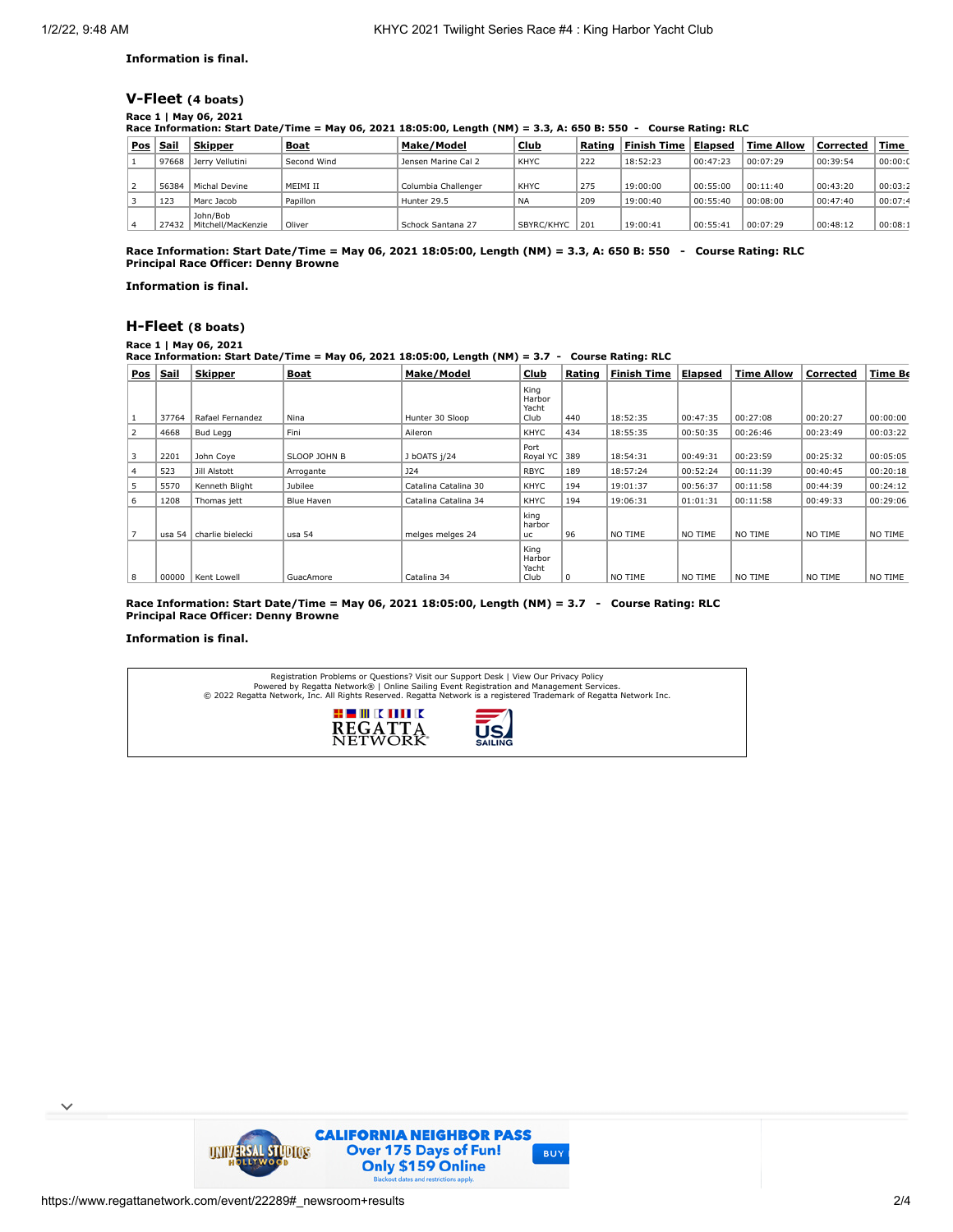### **Information is final.**

### **[V-Fleet](https://www.regattanetwork.com/clubmgmt/applet_race_scores_khyc.php?regatta_id=22289&race_num=1) (4 boats) Race 1 | May 06, 2021**

**Race Information: Start Date/Time = May 06, 2021 18:05:00, Length (NM) = 3.3, A: 650 B: 550 - Course Rating: RLC**

| Pos | Sail  | <b>Skipper</b>                 | <b>Boat</b> | Make/Model          | <b>Club</b> | Rating | <b>Finish Time</b> | Elapsed  | <b>Time Allow</b> | Corrected | <u>Time</u> |
|-----|-------|--------------------------------|-------------|---------------------|-------------|--------|--------------------|----------|-------------------|-----------|-------------|
|     | 97668 | Jerry Vellutini                | Second Wind | Jensen Marine Cal 2 | <b>KHYC</b> | 222    | 18:52:23           | 00:47:23 | 00:07:29          | 00:39:54  | 00:00:0     |
|     | 56384 | Michal Devine                  | MEIMI II    | Columbia Challenger | KHYC        | 275    | 19:00:00           | 00:55:00 | 00:11:40          | 00:43:20  | 00:03:2     |
|     | 123   | Marc Jacob                     | Papillon    | Hunter 29.5         | <b>NA</b>   | 209    | 19:00:40           | 00:55:40 | 00:08:00          | 00:47:40  | 00:07:4     |
|     | 27432 | John/Bob<br>Mitchell/MacKenzie | Oliver      | Schock Santana 27   | SBYRC/KHYC  | 201    | 19:00:41           | 00:55:41 | 00:07:29          | 00:48:12  | 00:08:1     |

**Race Information: Start Date/Time = May 06, 2021 18:05:00, Length (NM) = 3.3, A: 650 B: 550 - Course Rating: RLC Principal Race Officer: Denny Browne**

**Information is final.**

## **[H-Fleet](https://www.regattanetwork.com/clubmgmt/applet_race_scores_khyc.php?regatta_id=22289&race_num=1) (8 boats)**

**Race 1 | May 06, 2021**

**Race Information: Start Date/Time = May 06, 2021 18:05:00, Length (NM) = 3.7 - Course Rating: RLC**

| <u>Pos</u>     | Sail   | <b>Skipper</b>   | <u>Boat</u>  | Make/Model             | <b>Club</b>                 | Rating | <b>Finish Time</b> | <b>Elapsed</b> | <b>Time Allow</b> | <b>Corrected</b> | <b>Time Be</b> |
|----------------|--------|------------------|--------------|------------------------|-----------------------------|--------|--------------------|----------------|-------------------|------------------|----------------|
|                |        |                  |              |                        | King<br>Harbor<br>Yacht     |        |                    |                |                   |                  |                |
|                | 37764  | Rafael Fernandez | Nina         | Hunter 30 Sloop        | Club                        | 440    | 18:52:35           | 00:47:35       | 00:27:08          | 00:20:27         | 00:00:00       |
| 2              | 4668   | <b>Bud Legg</b>  | Fini         | Aileron                | <b>KHYC</b>                 | 434    | 18:55:35           | 00:50:35       | 00:26:46          | 00:23:49         | 00:03:22       |
| 3              | 2201   | John Coye        | SLOOP JOHN B | J bOATS $\frac{1}{24}$ | Port<br>Royal YC            | 389    | 18:54:31           | 00:49:31       | 00:23:59          | 00:25:32         | 00:05:05       |
| 4              | 523    | Jill Alstott     | Arrogante    | <b>J24</b>             | <b>RBYC</b>                 | 189    | 18:57:24           | 00:52:24       | 00:11:39          | 00:40:45         | 00:20:18       |
| 5              | 5570   | Kenneth Blight   | Jubilee      | Catalina Catalina 30   | <b>KHYC</b>                 | 194    | 19:01:37           | 00:56:37       | 00:11:58          | 00:44:39         | 00:24:12       |
| 6              | 1208   | Thomas jett      | Blue Haven   | Catalina Catalina 34   | <b>KHYC</b>                 | 194    | 19:06:31           | 01:01:31       | 00:11:58          | 00:49:33         | 00:29:06       |
| $\overline{7}$ | usa 54 | charlie bielecki | usa 54       | melges melges 24       | king<br>harbor<br><b>UC</b> | 96     | NO TIME            | NO TIME        | NO TIME           | NO TIME          | NO TIME        |
|                |        |                  |              |                        | King<br>Harbor<br>Yacht     |        |                    |                |                   |                  |                |
| 8              | 00000  | Kent Lowell      | GuacAmore    | Catalina 34            | Club                        | 0      | NO TIME            | NO TIME        | NO TIME           | NO TIME          | NO TIME        |

**Race Information: Start Date/Time = May 06, 2021 18:05:00, Length (NM) = 3.7 - Course Rating: RLC Principal Race Officer: Denny Browne**

### **Information is final.**

Registration Problems or Questions? [Visit our Support Desk](http://support.regattanetwork.com/) | [View Our Privacy Policy](https://www.regattanetwork.com/html/privacy.html)<br>[Powered by Regatta Network®](http://www.regattanetwork.com/) | Online Sailing Event Registration and Management Services.<br>© 2022 [Regatta Network](http://www.regattanetwork.com/), Inc. All Rights Reserved 880 K OO K **REGATTA**<br>NETWORK



 $\checkmark$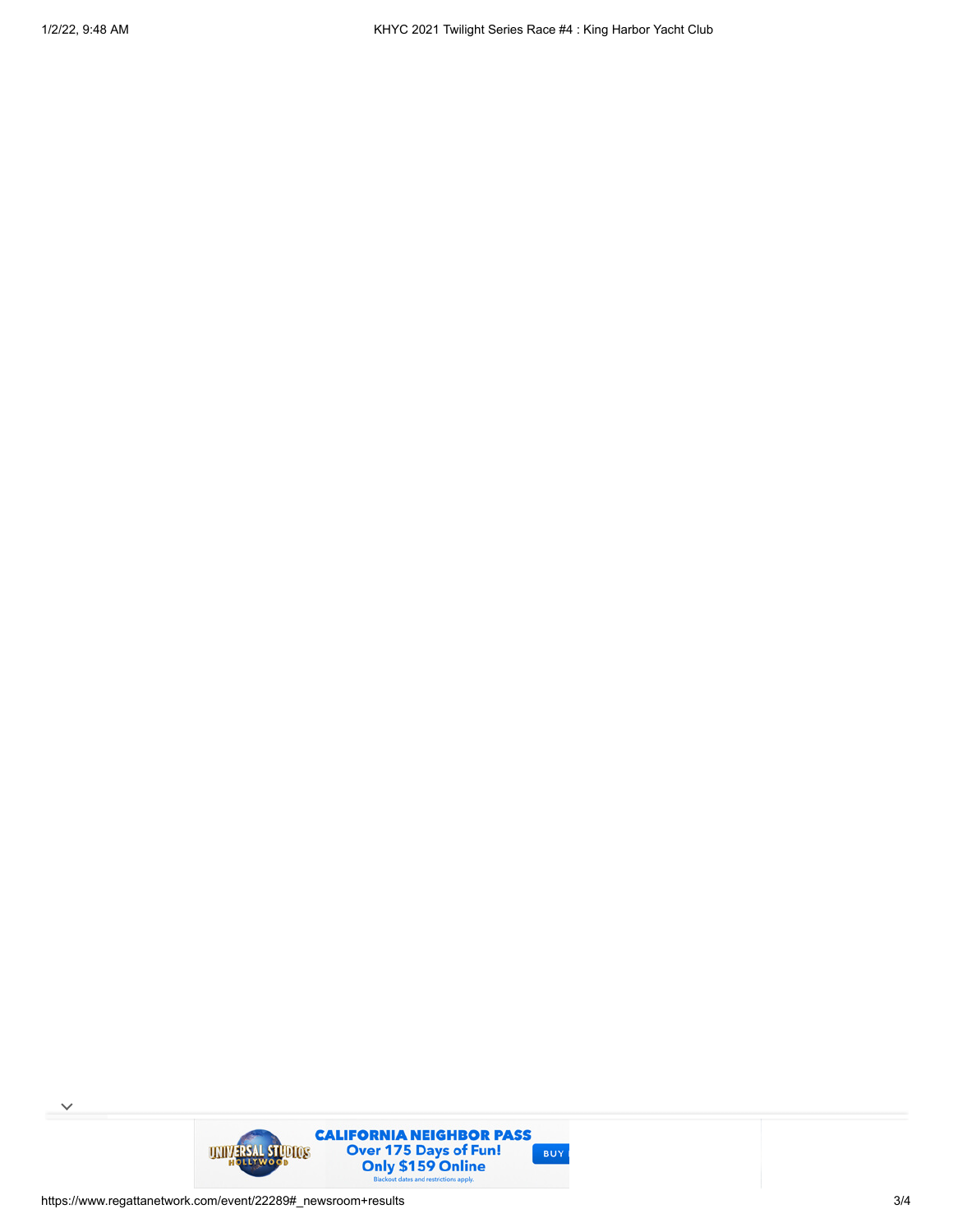

 $\checkmark$